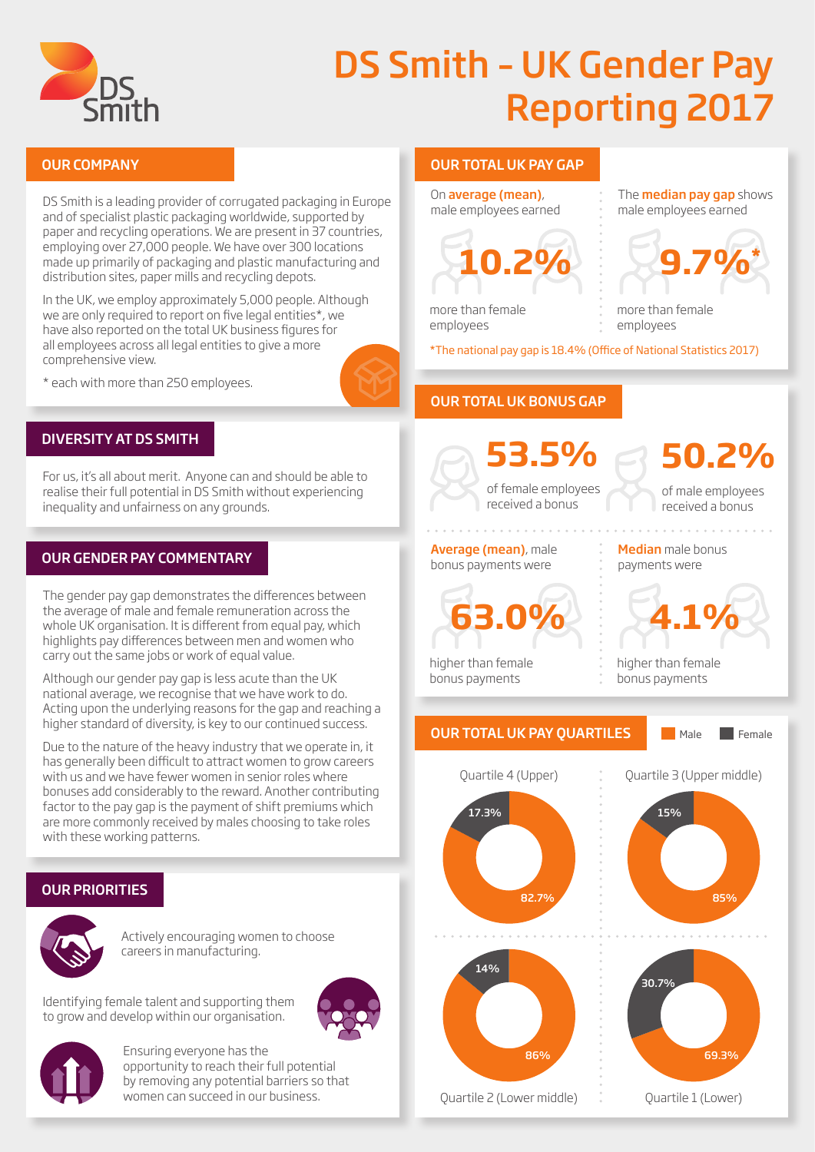

# DS Smith – UK Gender Pay Reporting 2017

DS Smith is a leading provider of corrugated packaging in Europe and of specialist plastic packaging worldwide, supported by paper and recycling operations. We are present in 37 countries, employing over 27,000 people. We have over 300 locations made up primarily of packaging and plastic manufacturing and distribution sites, paper mills and recycling depots.

In the UK, we employ approximately 5,000 people. Although we are only required to report on five legal entities\*, we have also reported on the total UK business figures for all employees across all legal entities to give a more comprehensive view.

\* each with more than 250 employees.



#### DIVERSITY AT DS SMITH

For us, it's all about merit. Anyone can and should be able to realise their full potential in DS Smith without experiencing inequality and unfairness on any grounds.

#### OUR GENDER PAY COMMENTARY

The gender pay gap demonstrates the differences between the average of male and female remuneration across the whole UK organisation. It is different from equal pay, which highlights pay differences between men and women who carry out the same jobs or work of equal value.

Although our gender pay gap is less acute than the UK national average, we recognise that we have work to do. Acting upon the underlying reasons for the gap and reaching a higher standard of diversity, is key to our continued success.

Due to the nature of the heavy industry that we operate in, it has generally been difficult to attract women to grow careers with us and we have fewer women in senior roles where bonuses add considerably to the reward. Another contributing factor to the pay gap is the payment of shift premiums which are more commonly received by males choosing to take roles with these working patterns.

### OUR PRIORITIES



Actively encouraging women to choose careers in manufacturing.

Identifying female talent and supporting them to grow and develop within our organisation.





Ensuring everyone has the opportunity to reach their full potential by removing any potential barriers so that women can succeed in our business.

#### OUR COMPANY OUR TOTAL UK PAY GAP

On average (mean), male employees earned



The **median pay gap** shows male employees earned



more than female employees

more than female employees

\*The national pay gap is 18.4% (Office of National Statistics 2017)

### OUR TOTAL UK BONUS GAP

of female employees received a bonus **53.5%**

of male employees **50.2%**

received a bonus

#### Average (mean), male bonus payments were



higher than female bonus payments

Median male bonus payments were



higher than female bonus payments



Male **Female** 







Quartile 3 (Upper middle)